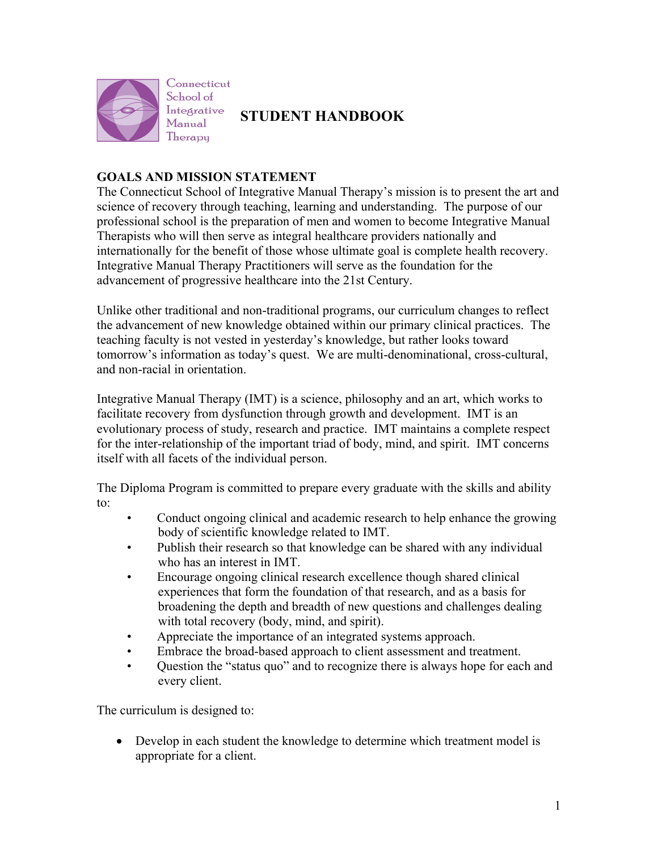

**STUDENT HANDBOOK**

# **GOALS AND MISSION STATEMENT**

The Connecticut School of Integrative Manual Therapy's mission is to present the art and science of recovery through teaching, learning and understanding. The purpose of our professional school is the preparation of men and women to become Integrative Manual Therapists who will then serve as integral healthcare providers nationally and internationally for the benefit of those whose ultimate goal is complete health recovery. Integrative Manual Therapy Practitioners will serve as the foundation for the advancement of progressive healthcare into the 21st Century.

Unlike other traditional and non-traditional programs, our curriculum changes to reflect the advancement of new knowledge obtained within our primary clinical practices. The teaching faculty is not vested in yesterday's knowledge, but rather looks toward tomorrow's information as today's quest. We are multi-denominational, cross-cultural, and non-racial in orientation.

Integrative Manual Therapy (IMT) is a science, philosophy and an art, which works to facilitate recovery from dysfunction through growth and development. IMT is an evolutionary process of study, research and practice. IMT maintains a complete respect for the inter-relationship of the important triad of body, mind, and spirit. IMT concerns itself with all facets of the individual person.

The Diploma Program is committed to prepare every graduate with the skills and ability to:

- Conduct ongoing clinical and academic research to help enhance the growing body of scientific knowledge related to IMT.
- Publish their research so that knowledge can be shared with any individual who has an interest in IMT.
- Encourage ongoing clinical research excellence though shared clinical experiences that form the foundation of that research, and as a basis for broadening the depth and breadth of new questions and challenges dealing with total recovery (body, mind, and spirit).
- Appreciate the importance of an integrated systems approach.
- Embrace the broad-based approach to client assessment and treatment.
- Question the "status quo" and to recognize there is always hope for each and every client.

The curriculum is designed to:

• Develop in each student the knowledge to determine which treatment model is appropriate for a client.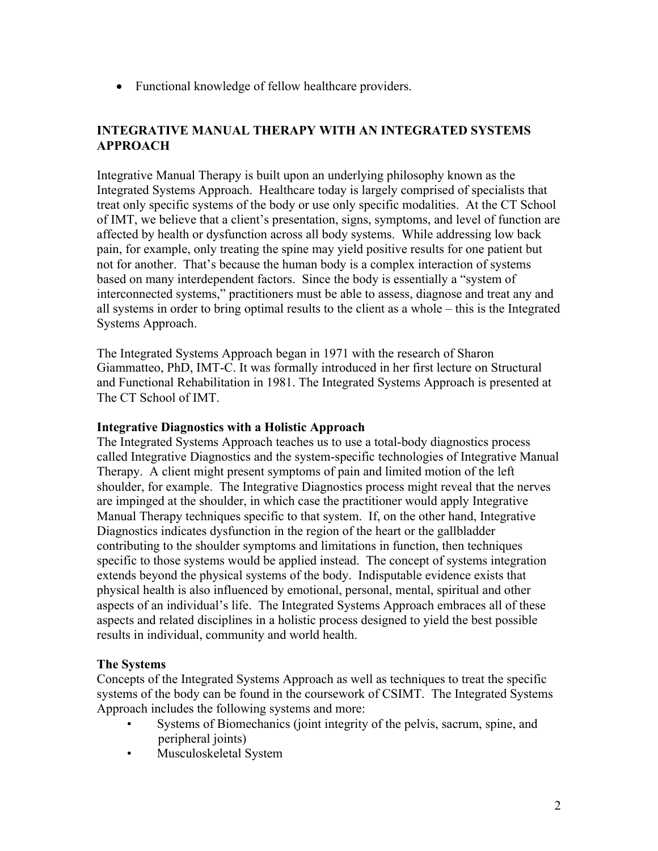• Functional knowledge of fellow healthcare providers.

# **INTEGRATIVE MANUAL THERAPY WITH AN INTEGRATED SYSTEMS APPROACH**

Integrative Manual Therapy is built upon an underlying philosophy known as the Integrated Systems Approach. Healthcare today is largely comprised of specialists that treat only specific systems of the body or use only specific modalities. At the CT School of IMT, we believe that a client's presentation, signs, symptoms, and level of function are affected by health or dysfunction across all body systems. While addressing low back pain, for example, only treating the spine may yield positive results for one patient but not for another. That's because the human body is a complex interaction of systems based on many interdependent factors. Since the body is essentially a "system of interconnected systems," practitioners must be able to assess, diagnose and treat any and all systems in order to bring optimal results to the client as a whole – this is the Integrated Systems Approach.

The Integrated Systems Approach began in 1971 with the research of Sharon Giammatteo, PhD, IMT-C. It was formally introduced in her first lecture on Structural and Functional Rehabilitation in 1981. The Integrated Systems Approach is presented at The CT School of IMT.

### **Integrative Diagnostics with a Holistic Approach**

The Integrated Systems Approach teaches us to use a total-body diagnostics process called Integrative Diagnostics and the system-specific technologies of Integrative Manual Therapy. A client might present symptoms of pain and limited motion of the left shoulder, for example. The Integrative Diagnostics process might reveal that the nerves are impinged at the shoulder, in which case the practitioner would apply Integrative Manual Therapy techniques specific to that system. If, on the other hand, Integrative Diagnostics indicates dysfunction in the region of the heart or the gallbladder contributing to the shoulder symptoms and limitations in function, then techniques specific to those systems would be applied instead. The concept of systems integration extends beyond the physical systems of the body. Indisputable evidence exists that physical health is also influenced by emotional, personal, mental, spiritual and other aspects of an individual's life. The Integrated Systems Approach embraces all of these aspects and related disciplines in a holistic process designed to yield the best possible results in individual, community and world health.

# **The Systems**

Concepts of the Integrated Systems Approach as well as techniques to treat the specific systems of the body can be found in the coursework of CSIMT. The Integrated Systems Approach includes the following systems and more:

- Systems of Biomechanics (joint integrity of the pelvis, sacrum, spine, and peripheral joints)
- Musculoskeletal System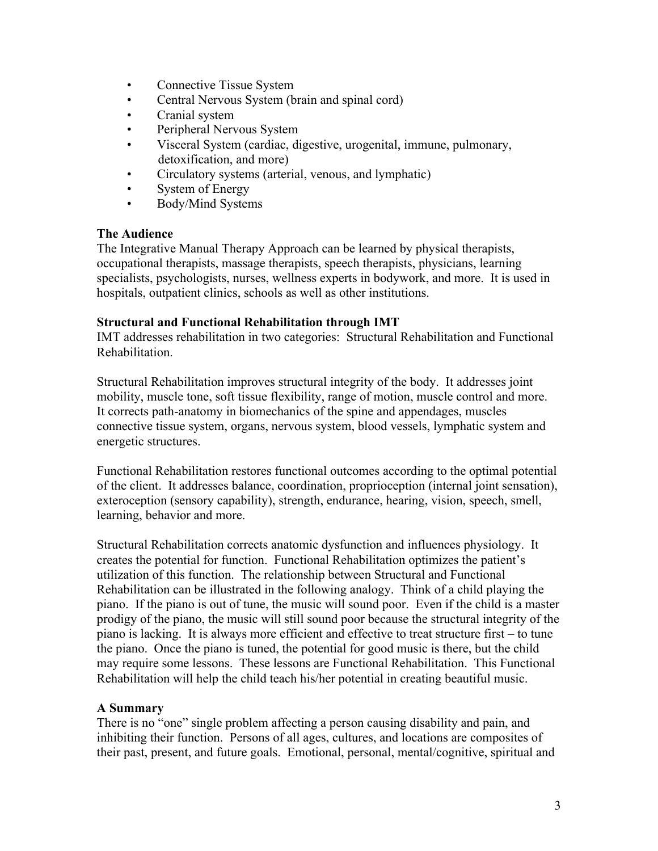- Connective Tissue System
- Central Nervous System (brain and spinal cord)
- Cranial system
- Peripheral Nervous System
- Visceral System (cardiac, digestive, urogenital, immune, pulmonary, detoxification, and more)
- Circulatory systems (arterial, venous, and lymphatic)
- System of Energy
- Body/Mind Systems

#### **The Audience**

The Integrative Manual Therapy Approach can be learned by physical therapists, occupational therapists, massage therapists, speech therapists, physicians, learning specialists, psychologists, nurses, wellness experts in bodywork, and more. It is used in hospitals, outpatient clinics, schools as well as other institutions.

#### **Structural and Functional Rehabilitation through IMT**

IMT addresses rehabilitation in two categories: Structural Rehabilitation and Functional Rehabilitation.

Structural Rehabilitation improves structural integrity of the body. It addresses joint mobility, muscle tone, soft tissue flexibility, range of motion, muscle control and more. It corrects path-anatomy in biomechanics of the spine and appendages, muscles connective tissue system, organs, nervous system, blood vessels, lymphatic system and energetic structures.

Functional Rehabilitation restores functional outcomes according to the optimal potential of the client. It addresses balance, coordination, proprioception (internal joint sensation), exteroception (sensory capability), strength, endurance, hearing, vision, speech, smell, learning, behavior and more.

Structural Rehabilitation corrects anatomic dysfunction and influences physiology. It creates the potential for function. Functional Rehabilitation optimizes the patient's utilization of this function. The relationship between Structural and Functional Rehabilitation can be illustrated in the following analogy. Think of a child playing the piano. If the piano is out of tune, the music will sound poor. Even if the child is a master prodigy of the piano, the music will still sound poor because the structural integrity of the piano is lacking. It is always more efficient and effective to treat structure first – to tune the piano. Once the piano is tuned, the potential for good music is there, but the child may require some lessons. These lessons are Functional Rehabilitation. This Functional Rehabilitation will help the child teach his/her potential in creating beautiful music.

# **A Summary**

There is no "one" single problem affecting a person causing disability and pain, and inhibiting their function. Persons of all ages, cultures, and locations are composites of their past, present, and future goals. Emotional, personal, mental/cognitive, spiritual and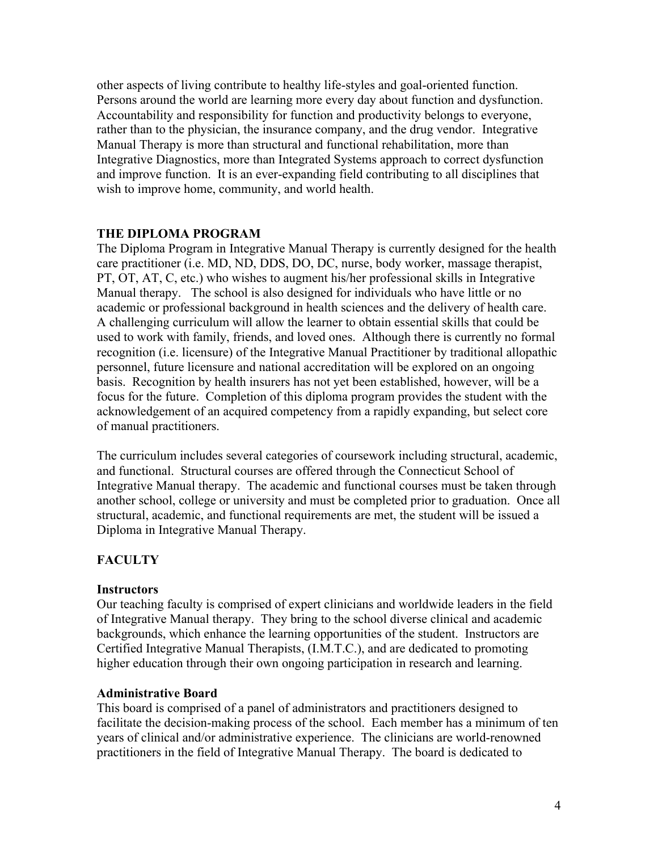other aspects of living contribute to healthy life-styles and goal-oriented function. Persons around the world are learning more every day about function and dysfunction. Accountability and responsibility for function and productivity belongs to everyone, rather than to the physician, the insurance company, and the drug vendor. Integrative Manual Therapy is more than structural and functional rehabilitation, more than Integrative Diagnostics, more than Integrated Systems approach to correct dysfunction and improve function. It is an ever-expanding field contributing to all disciplines that wish to improve home, community, and world health.

#### **THE DIPLOMA PROGRAM**

The Diploma Program in Integrative Manual Therapy is currently designed for the health care practitioner (i.e. MD, ND, DDS, DO, DC, nurse, body worker, massage therapist, PT, OT, AT, C, etc.) who wishes to augment his/her professional skills in Integrative Manual therapy. The school is also designed for individuals who have little or no academic or professional background in health sciences and the delivery of health care. A challenging curriculum will allow the learner to obtain essential skills that could be used to work with family, friends, and loved ones. Although there is currently no formal recognition (i.e. licensure) of the Integrative Manual Practitioner by traditional allopathic personnel, future licensure and national accreditation will be explored on an ongoing basis. Recognition by health insurers has not yet been established, however, will be a focus for the future. Completion of this diploma program provides the student with the acknowledgement of an acquired competency from a rapidly expanding, but select core of manual practitioners.

The curriculum includes several categories of coursework including structural, academic, and functional. Structural courses are offered through the Connecticut School of Integrative Manual therapy. The academic and functional courses must be taken through another school, college or university and must be completed prior to graduation. Once all structural, academic, and functional requirements are met, the student will be issued a Diploma in Integrative Manual Therapy.

# **FACULTY**

#### **Instructors**

Our teaching faculty is comprised of expert clinicians and worldwide leaders in the field of Integrative Manual therapy. They bring to the school diverse clinical and academic backgrounds, which enhance the learning opportunities of the student. Instructors are Certified Integrative Manual Therapists, (I.M.T.C.), and are dedicated to promoting higher education through their own ongoing participation in research and learning.

#### **Administrative Board**

This board is comprised of a panel of administrators and practitioners designed to facilitate the decision-making process of the school. Each member has a minimum of ten years of clinical and/or administrative experience. The clinicians are world-renowned practitioners in the field of Integrative Manual Therapy. The board is dedicated to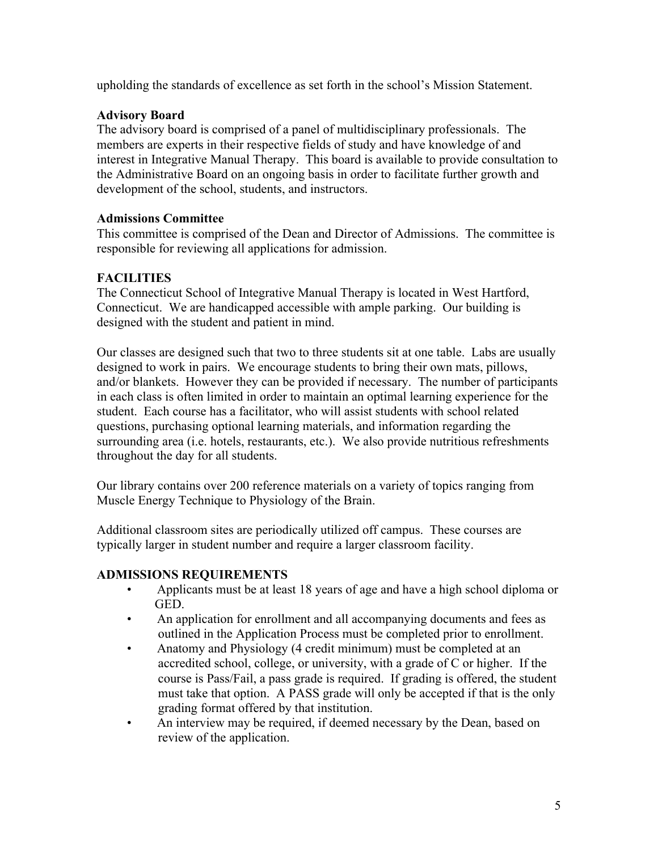upholding the standards of excellence as set forth in the school's Mission Statement.

# **Advisory Board**

The advisory board is comprised of a panel of multidisciplinary professionals. The members are experts in their respective fields of study and have knowledge of and interest in Integrative Manual Therapy. This board is available to provide consultation to the Administrative Board on an ongoing basis in order to facilitate further growth and development of the school, students, and instructors.

### **Admissions Committee**

This committee is comprised of the Dean and Director of Admissions. The committee is responsible for reviewing all applications for admission.

# **FACILITIES**

The Connecticut School of Integrative Manual Therapy is located in West Hartford, Connecticut. We are handicapped accessible with ample parking. Our building is designed with the student and patient in mind.

Our classes are designed such that two to three students sit at one table. Labs are usually designed to work in pairs. We encourage students to bring their own mats, pillows, and/or blankets. However they can be provided if necessary. The number of participants in each class is often limited in order to maintain an optimal learning experience for the student. Each course has a facilitator, who will assist students with school related questions, purchasing optional learning materials, and information regarding the surrounding area (i.e. hotels, restaurants, etc.). We also provide nutritious refreshments throughout the day for all students.

Our library contains over 200 reference materials on a variety of topics ranging from Muscle Energy Technique to Physiology of the Brain.

Additional classroom sites are periodically utilized off campus. These courses are typically larger in student number and require a larger classroom facility.

# **ADMISSIONS REQUIREMENTS**

- Applicants must be at least 18 years of age and have a high school diploma or GED.
- An application for enrollment and all accompanying documents and fees as outlined in the Application Process must be completed prior to enrollment.
- Anatomy and Physiology (4 credit minimum) must be completed at an accredited school, college, or university, with a grade of C or higher. If the course is Pass/Fail, a pass grade is required. If grading is offered, the student must take that option. A PASS grade will only be accepted if that is the only grading format offered by that institution.
- An interview may be required, if deemed necessary by the Dean, based on review of the application.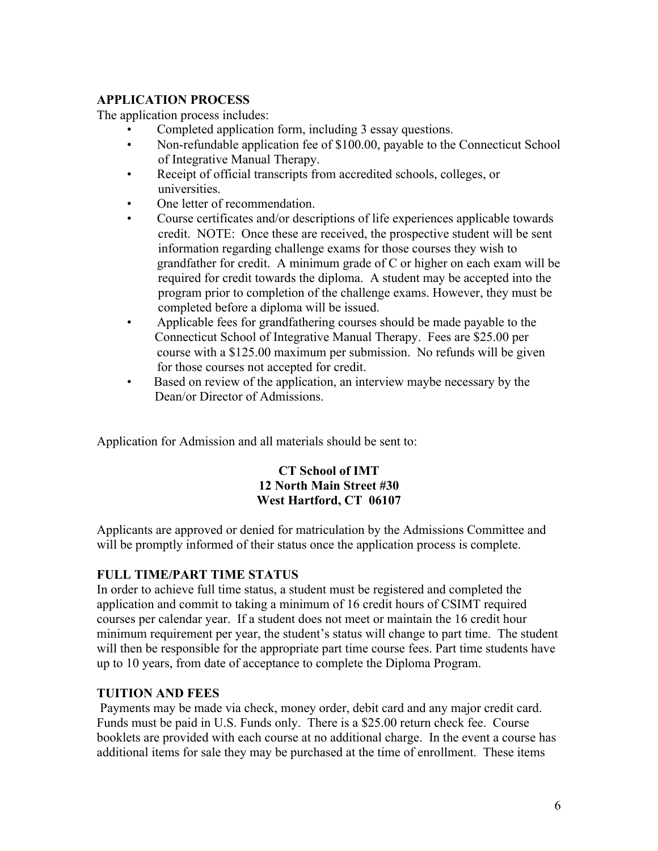# **APPLICATION PROCESS**

The application process includes:

- Completed application form, including 3 essay questions.
- Non-refundable application fee of \$100.00, payable to the Connecticut School of Integrative Manual Therapy.
- Receipt of official transcripts from accredited schools, colleges, or universities.
- One letter of recommendation.
- Course certificates and/or descriptions of life experiences applicable towards credit. NOTE: Once these are received, the prospective student will be sent information regarding challenge exams for those courses they wish to grandfather for credit. A minimum grade of C or higher on each exam will be required for credit towards the diploma. A student may be accepted into the program prior to completion of the challenge exams. However, they must be completed before a diploma will be issued.
- Applicable fees for grandfathering courses should be made payable to the Connecticut School of Integrative Manual Therapy. Fees are \$25.00 per course with a \$125.00 maximum per submission. No refunds will be given for those courses not accepted for credit.
- Based on review of the application, an interview maybe necessary by the Dean/or Director of Admissions.

Application for Admission and all materials should be sent to:

# **CT School of IMT 12 North Main Street #30 West Hartford, CT 06107**

Applicants are approved or denied for matriculation by the Admissions Committee and will be promptly informed of their status once the application process is complete.

# **FULL TIME/PART TIME STATUS**

In order to achieve full time status, a student must be registered and completed the application and commit to taking a minimum of 16 credit hours of CSIMT required courses per calendar year. If a student does not meet or maintain the 16 credit hour minimum requirement per year, the student's status will change to part time. The student will then be responsible for the appropriate part time course fees. Part time students have up to 10 years, from date of acceptance to complete the Diploma Program.

# **TUITION AND FEES**

Payments may be made via check, money order, debit card and any major credit card. Funds must be paid in U.S. Funds only. There is a \$25.00 return check fee. Course booklets are provided with each course at no additional charge. In the event a course has additional items for sale they may be purchased at the time of enrollment. These items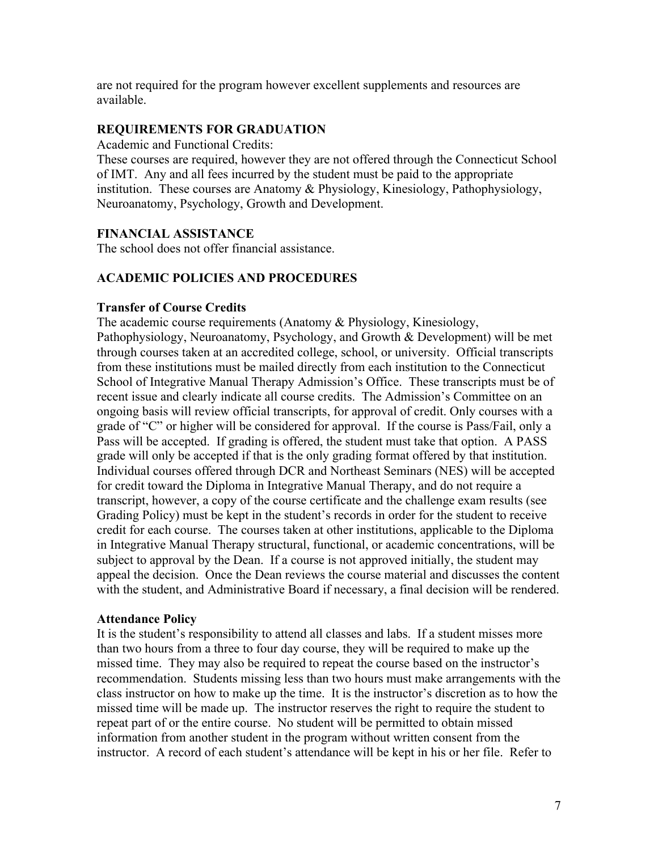are not required for the program however excellent supplements and resources are available.

#### **REQUIREMENTS FOR GRADUATION**

Academic and Functional Credits:

These courses are required, however they are not offered through the Connecticut School of IMT. Any and all fees incurred by the student must be paid to the appropriate institution. These courses are Anatomy & Physiology, Kinesiology, Pathophysiology, Neuroanatomy, Psychology, Growth and Development.

### **FINANCIAL ASSISTANCE**

The school does not offer financial assistance.

### **ACADEMIC POLICIES AND PROCEDURES**

#### **Transfer of Course Credits**

The academic course requirements (Anatomy & Physiology, Kinesiology, Pathophysiology, Neuroanatomy, Psychology, and Growth & Development) will be met through courses taken at an accredited college, school, or university. Official transcripts from these institutions must be mailed directly from each institution to the Connecticut School of Integrative Manual Therapy Admission's Office. These transcripts must be of recent issue and clearly indicate all course credits. The Admission's Committee on an ongoing basis will review official transcripts, for approval of credit. Only courses with a grade of "C" or higher will be considered for approval. If the course is Pass/Fail, only a Pass will be accepted. If grading is offered, the student must take that option. A PASS grade will only be accepted if that is the only grading format offered by that institution. Individual courses offered through DCR and Northeast Seminars (NES) will be accepted for credit toward the Diploma in Integrative Manual Therapy, and do not require a transcript, however, a copy of the course certificate and the challenge exam results (see Grading Policy) must be kept in the student's records in order for the student to receive credit for each course. The courses taken at other institutions, applicable to the Diploma in Integrative Manual Therapy structural, functional, or academic concentrations, will be subject to approval by the Dean. If a course is not approved initially, the student may appeal the decision. Once the Dean reviews the course material and discusses the content with the student, and Administrative Board if necessary, a final decision will be rendered.

#### **Attendance Policy**

It is the student's responsibility to attend all classes and labs. If a student misses more than two hours from a three to four day course, they will be required to make up the missed time. They may also be required to repeat the course based on the instructor's recommendation. Students missing less than two hours must make arrangements with the class instructor on how to make up the time. It is the instructor's discretion as to how the missed time will be made up. The instructor reserves the right to require the student to repeat part of or the entire course. No student will be permitted to obtain missed information from another student in the program without written consent from the instructor. A record of each student's attendance will be kept in his or her file. Refer to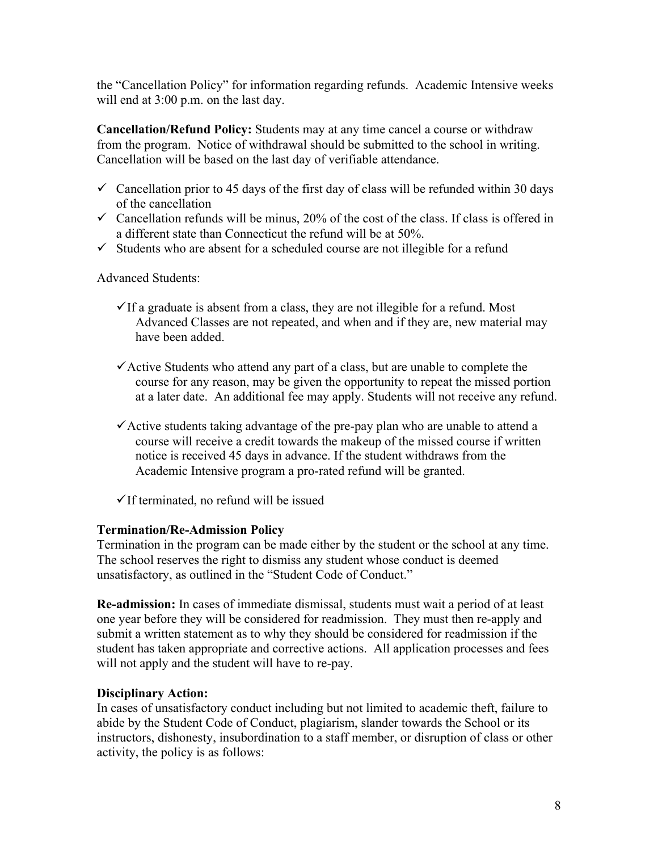the "Cancellation Policy" for information regarding refunds. Academic Intensive weeks will end at 3:00 p.m. on the last day.

**Cancellation/Refund Policy:** Students may at any time cancel a course or withdraw from the program. Notice of withdrawal should be submitted to the school in writing. Cancellation will be based on the last day of verifiable attendance.

- $\checkmark$  Cancellation prior to 45 days of the first day of class will be refunded within 30 days of the cancellation
- $\checkmark$  Cancellation refunds will be minus, 20% of the cost of the class. If class is offered in a different state than Connecticut the refund will be at 50%.
- $\checkmark$  Students who are absent for a scheduled course are not illegible for a refund

Advanced Students:

- $\checkmark$  If a graduate is absent from a class, they are not illegible for a refund. Most Advanced Classes are not repeated, and when and if they are, new material may have been added.
- $\checkmark$  Active Students who attend any part of a class, but are unable to complete the course for any reason, may be given the opportunity to repeat the missed portion at a later date. An additional fee may apply. Students will not receive any refund.
- $\checkmark$  Active students taking advantage of the pre-pay plan who are unable to attend a course will receive a credit towards the makeup of the missed course if written notice is received 45 days in advance. If the student withdraws from the Academic Intensive program a pro-rated refund will be granted.
- $\checkmark$  If terminated, no refund will be issued

#### **Termination/Re-Admission Policy**

Termination in the program can be made either by the student or the school at any time. The school reserves the right to dismiss any student whose conduct is deemed unsatisfactory, as outlined in the "Student Code of Conduct."

**Re-admission:** In cases of immediate dismissal, students must wait a period of at least one year before they will be considered for readmission. They must then re-apply and submit a written statement as to why they should be considered for readmission if the student has taken appropriate and corrective actions. All application processes and fees will not apply and the student will have to re-pay.

#### **Disciplinary Action:**

In cases of unsatisfactory conduct including but not limited to academic theft, failure to abide by the Student Code of Conduct, plagiarism, slander towards the School or its instructors, dishonesty, insubordination to a staff member, or disruption of class or other activity, the policy is as follows: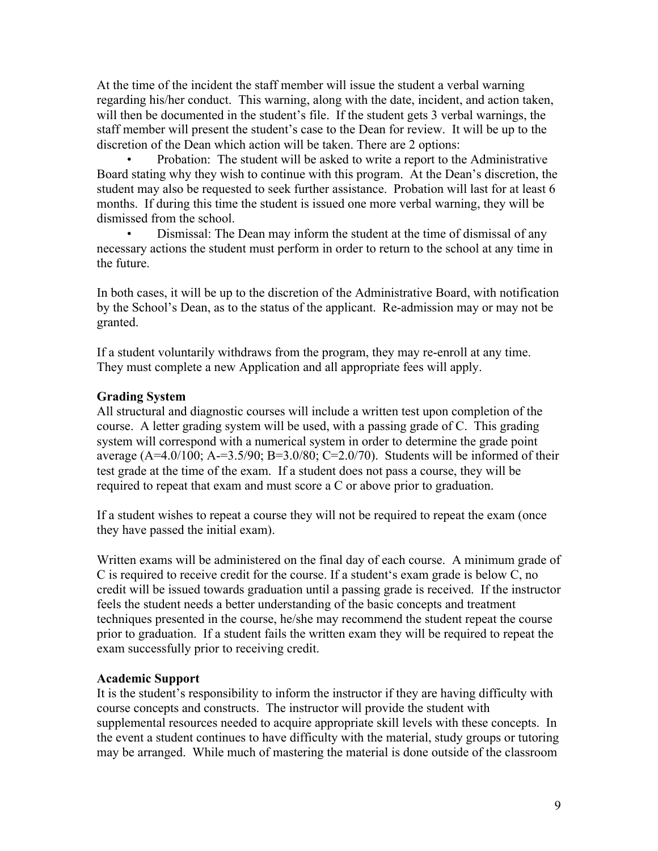At the time of the incident the staff member will issue the student a verbal warning regarding his/her conduct. This warning, along with the date, incident, and action taken, will then be documented in the student's file. If the student gets 3 verbal warnings, the staff member will present the student's case to the Dean for review. It will be up to the discretion of the Dean which action will be taken. There are 2 options:

• Probation: The student will be asked to write a report to the Administrative Board stating why they wish to continue with this program. At the Dean's discretion, the student may also be requested to seek further assistance. Probation will last for at least 6 months. If during this time the student is issued one more verbal warning, they will be dismissed from the school.

• Dismissal: The Dean may inform the student at the time of dismissal of any necessary actions the student must perform in order to return to the school at any time in the future.

In both cases, it will be up to the discretion of the Administrative Board, with notification by the School's Dean, as to the status of the applicant. Re-admission may or may not be granted.

If a student voluntarily withdraws from the program, they may re-enroll at any time. They must complete a new Application and all appropriate fees will apply.

#### **Grading System**

All structural and diagnostic courses will include a written test upon completion of the course. A letter grading system will be used, with a passing grade of C. This grading system will correspond with a numerical system in order to determine the grade point average  $(A=4.0/100; A=3.5/90; B=3.0/80; C=2.0/70)$ . Students will be informed of their test grade at the time of the exam. If a student does not pass a course, they will be required to repeat that exam and must score a C or above prior to graduation.

If a student wishes to repeat a course they will not be required to repeat the exam (once they have passed the initial exam).

Written exams will be administered on the final day of each course. A minimum grade of C is required to receive credit for the course. If a student's exam grade is below C, no credit will be issued towards graduation until a passing grade is received. If the instructor feels the student needs a better understanding of the basic concepts and treatment techniques presented in the course, he/she may recommend the student repeat the course prior to graduation. If a student fails the written exam they will be required to repeat the exam successfully prior to receiving credit.

#### **Academic Support**

It is the student's responsibility to inform the instructor if they are having difficulty with course concepts and constructs. The instructor will provide the student with supplemental resources needed to acquire appropriate skill levels with these concepts. In the event a student continues to have difficulty with the material, study groups or tutoring may be arranged. While much of mastering the material is done outside of the classroom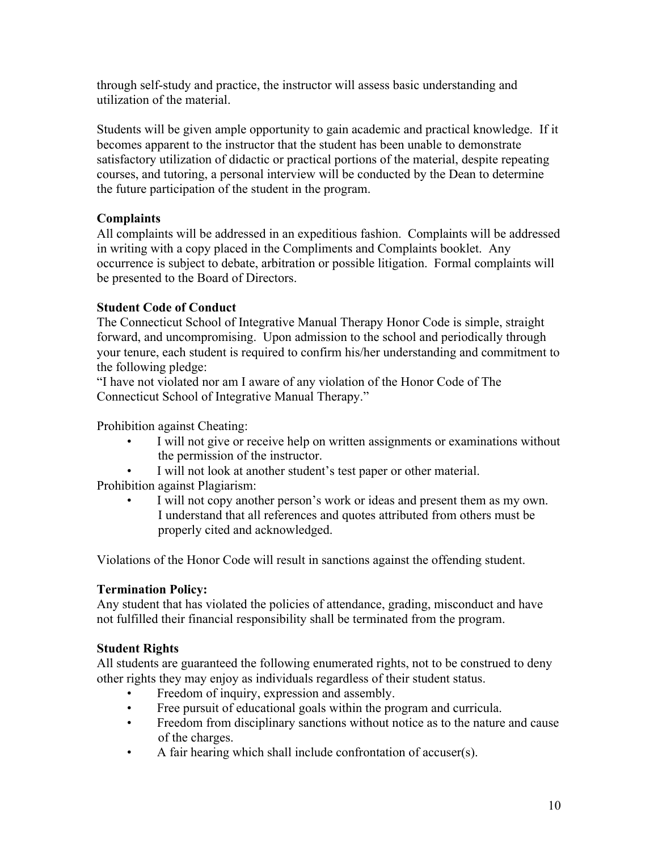through self-study and practice, the instructor will assess basic understanding and utilization of the material.

Students will be given ample opportunity to gain academic and practical knowledge. If it becomes apparent to the instructor that the student has been unable to demonstrate satisfactory utilization of didactic or practical portions of the material, despite repeating courses, and tutoring, a personal interview will be conducted by the Dean to determine the future participation of the student in the program.

# **Complaints**

All complaints will be addressed in an expeditious fashion. Complaints will be addressed in writing with a copy placed in the Compliments and Complaints booklet. Any occurrence is subject to debate, arbitration or possible litigation. Formal complaints will be presented to the Board of Directors.

# **Student Code of Conduct**

The Connecticut School of Integrative Manual Therapy Honor Code is simple, straight forward, and uncompromising. Upon admission to the school and periodically through your tenure, each student is required to confirm his/her understanding and commitment to the following pledge:

"I have not violated nor am I aware of any violation of the Honor Code of The Connecticut School of Integrative Manual Therapy."

Prohibition against Cheating:

- I will not give or receive help on written assignments or examinations without the permission of the instructor.
- I will not look at another student's test paper or other material.

Prohibition against Plagiarism:

I will not copy another person's work or ideas and present them as my own. I understand that all references and quotes attributed from others must be properly cited and acknowledged.

Violations of the Honor Code will result in sanctions against the offending student.

# **Termination Policy:**

Any student that has violated the policies of attendance, grading, misconduct and have not fulfilled their financial responsibility shall be terminated from the program.

# **Student Rights**

All students are guaranteed the following enumerated rights, not to be construed to deny other rights they may enjoy as individuals regardless of their student status.

- Freedom of inquiry, expression and assembly.
- Free pursuit of educational goals within the program and curricula.
- Freedom from disciplinary sanctions without notice as to the nature and cause of the charges.
- A fair hearing which shall include confrontation of accuser(s).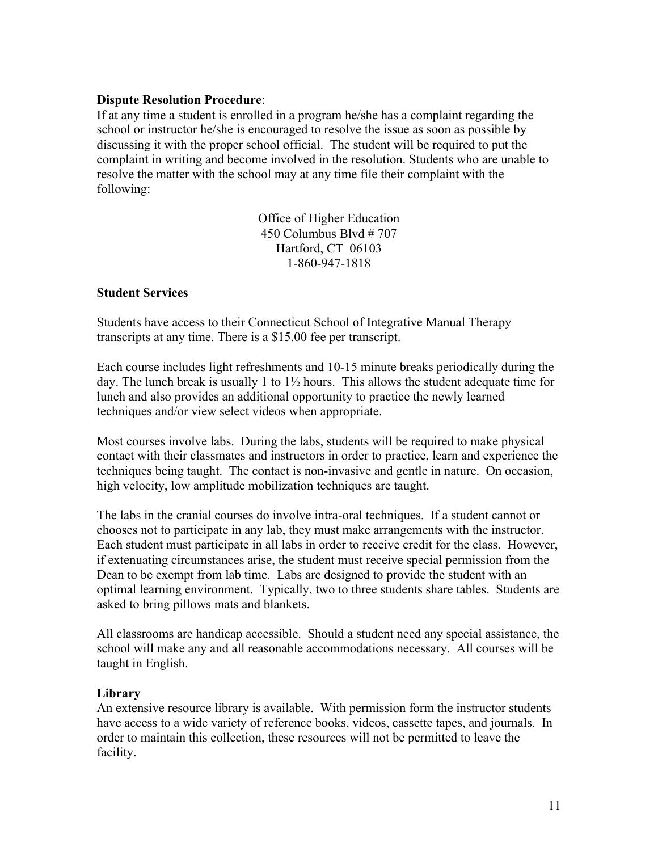### **Dispute Resolution Procedure**:

If at any time a student is enrolled in a program he/she has a complaint regarding the school or instructor he/she is encouraged to resolve the issue as soon as possible by discussing it with the proper school official. The student will be required to put the complaint in writing and become involved in the resolution. Students who are unable to resolve the matter with the school may at any time file their complaint with the following:

> Office of Higher Education 450 Columbus Blvd # 707 Hartford, CT 06103 1-860-947-1818

# **Student Services**

Students have access to their Connecticut School of Integrative Manual Therapy transcripts at any time. There is a \$15.00 fee per transcript.

Each course includes light refreshments and 10-15 minute breaks periodically during the day. The lunch break is usually 1 to  $1\frac{1}{2}$  hours. This allows the student adequate time for lunch and also provides an additional opportunity to practice the newly learned techniques and/or view select videos when appropriate.

Most courses involve labs. During the labs, students will be required to make physical contact with their classmates and instructors in order to practice, learn and experience the techniques being taught. The contact is non-invasive and gentle in nature. On occasion, high velocity, low amplitude mobilization techniques are taught.

The labs in the cranial courses do involve intra-oral techniques. If a student cannot or chooses not to participate in any lab, they must make arrangements with the instructor. Each student must participate in all labs in order to receive credit for the class. However, if extenuating circumstances arise, the student must receive special permission from the Dean to be exempt from lab time. Labs are designed to provide the student with an optimal learning environment. Typically, two to three students share tables. Students are asked to bring pillows mats and blankets.

All classrooms are handicap accessible. Should a student need any special assistance, the school will make any and all reasonable accommodations necessary. All courses will be taught in English.

# **Library**

An extensive resource library is available. With permission form the instructor students have access to a wide variety of reference books, videos, cassette tapes, and journals. In order to maintain this collection, these resources will not be permitted to leave the facility.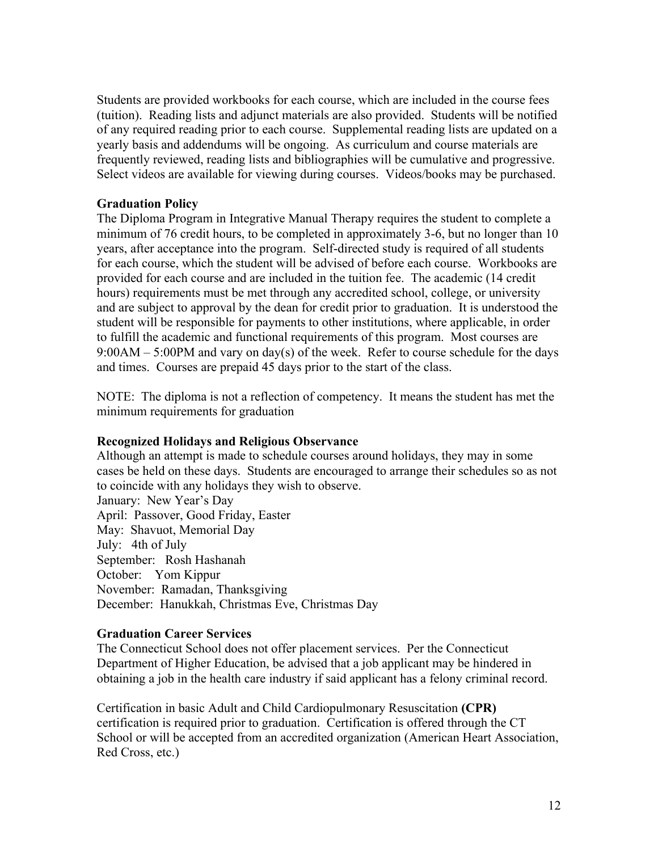Students are provided workbooks for each course, which are included in the course fees (tuition). Reading lists and adjunct materials are also provided. Students will be notified of any required reading prior to each course. Supplemental reading lists are updated on a yearly basis and addendums will be ongoing. As curriculum and course materials are frequently reviewed, reading lists and bibliographies will be cumulative and progressive. Select videos are available for viewing during courses. Videos/books may be purchased.

#### **Graduation Policy**

The Diploma Program in Integrative Manual Therapy requires the student to complete a minimum of 76 credit hours, to be completed in approximately 3-6, but no longer than 10 years, after acceptance into the program. Self-directed study is required of all students for each course, which the student will be advised of before each course. Workbooks are provided for each course and are included in the tuition fee. The academic (14 credit hours) requirements must be met through any accredited school, college, or university and are subject to approval by the dean for credit prior to graduation. It is understood the student will be responsible for payments to other institutions, where applicable, in order to fulfill the academic and functional requirements of this program. Most courses are  $9:00AM - 5:00PM$  and vary on day(s) of the week. Refer to course schedule for the days and times. Courses are prepaid 45 days prior to the start of the class.

NOTE: The diploma is not a reflection of competency. It means the student has met the minimum requirements for graduation

#### **Recognized Holidays and Religious Observance**

Although an attempt is made to schedule courses around holidays, they may in some cases be held on these days. Students are encouraged to arrange their schedules so as not to coincide with any holidays they wish to observe. January: New Year's Day April: Passover, Good Friday, Easter May: Shavuot, Memorial Day July: 4th of July September: Rosh Hashanah October: Yom Kippur November: Ramadan, Thanksgiving December: Hanukkah, Christmas Eve, Christmas Day

#### **Graduation Career Services**

The Connecticut School does not offer placement services. Per the Connecticut Department of Higher Education, be advised that a job applicant may be hindered in obtaining a job in the health care industry if said applicant has a felony criminal record.

Certification in basic Adult and Child Cardiopulmonary Resuscitation **(CPR)** certification is required prior to graduation. Certification is offered through the CT School or will be accepted from an accredited organization (American Heart Association, Red Cross, etc.)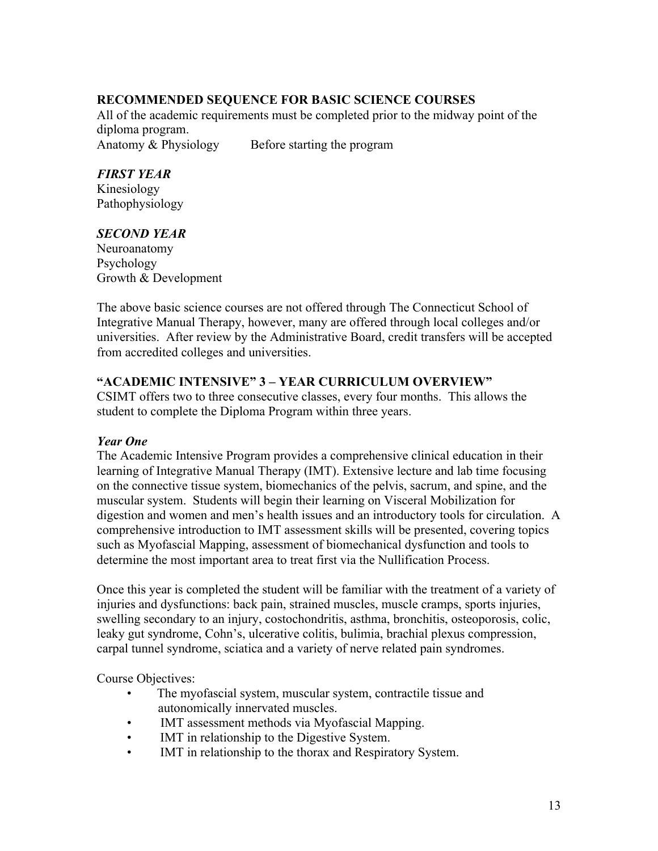# **RECOMMENDED SEQUENCE FOR BASIC SCIENCE COURSES**

All of the academic requirements must be completed prior to the midway point of the diploma program. Anatomy & Physiology Before starting the program

*FIRST YEAR*

Kinesiology Pathophysiology

# *SECOND YEAR*

Neuroanatomy Psychology Growth & Development

The above basic science courses are not offered through The Connecticut School of Integrative Manual Therapy, however, many are offered through local colleges and/or universities. After review by the Administrative Board, credit transfers will be accepted from accredited colleges and universities.

### **"ACADEMIC INTENSIVE" 3 – YEAR CURRICULUM OVERVIEW"**

CSIMT offers two to three consecutive classes, every four months. This allows the student to complete the Diploma Program within three years.

#### *Year One*

The Academic Intensive Program provides a comprehensive clinical education in their learning of Integrative Manual Therapy (IMT). Extensive lecture and lab time focusing on the connective tissue system, biomechanics of the pelvis, sacrum, and spine, and the muscular system. Students will begin their learning on Visceral Mobilization for digestion and women and men's health issues and an introductory tools for circulation. A comprehensive introduction to IMT assessment skills will be presented, covering topics such as Myofascial Mapping, assessment of biomechanical dysfunction and tools to determine the most important area to treat first via the Nullification Process.

Once this year is completed the student will be familiar with the treatment of a variety of injuries and dysfunctions: back pain, strained muscles, muscle cramps, sports injuries, swelling secondary to an injury, costochondritis, asthma, bronchitis, osteoporosis, colic, leaky gut syndrome, Cohn's, ulcerative colitis, bulimia, brachial plexus compression, carpal tunnel syndrome, sciatica and a variety of nerve related pain syndromes.

Course Objectives:

- The myofascial system, muscular system, contractile tissue and autonomically innervated muscles.
- IMT assessment methods via Myofascial Mapping.
- IMT in relationship to the Digestive System.
- IMT in relationship to the thorax and Respiratory System.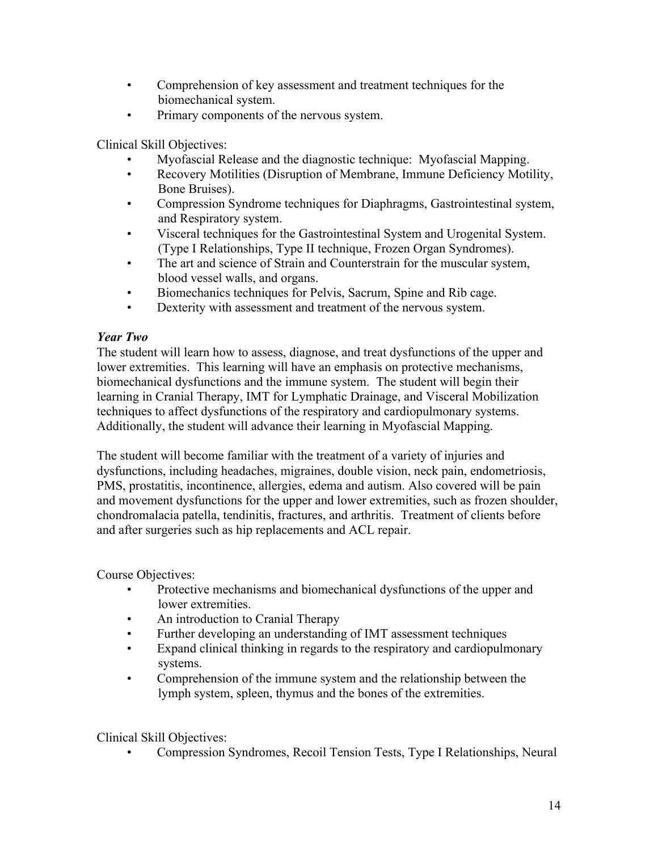- Comprehension of key assessment and treatment techniques for the biomechanical system.
- Primary components of the nervous system.

Clinical Skill Objectives:

- Myofascial Release and the diagnostic technique: Myofascial Mapping.
- Recovery Motilities (Disruption of Membrane, Immune Deficiency Motility, Bone Bruises).
- Compression Syndrome techniques for Diaphragms, Gastrointestinal system, and Respiratory system.
- Visceral techniques for the Gastrointestinal System and Urogenital System. (Type I Relationships, Type II technique, Frozen Organ Syndromes).
- The art and science of Strain and Counterstrain for the muscular system, blood vessel walls, and organs.
- Biomechanics techniques for Pelvis, Sacrum, Spine and Rib cage.
- Dexterity with assessment and treatment of the nervous system.

### *Year Two*

The student will learn how to assess, diagnose, and treat dysfunctions of the upper and lower extremities. This learning will have an emphasis on protective mechanisms, biomechanical dysfunctions and the immune system. The student will begin their learning in Cranial Therapy, IMT for Lymphatic Drainage, and Visceral Mobilization techniques to affect dysfunctions of the respiratory and cardiopulmonary systems. Additionally, the student will advance their learning in Myofascial Mapping.

The student will become familiar with the treatment of a variety of injuries and dysfunctions, including headaches, migraines, double vision, neck pain, endometriosis, PMS, prostatitis, incontinence, allergies, edema and autism. Also covered will be pain and movement dysfunctions for the upper and lower extremities, such as frozen shoulder, chondromalacia patella, tendinitis, fractures, and arthritis. Treatment of clients before and after surgeries such as hip replacements and ACL repair.

Course Objectives:

- Protective mechanisms and biomechanical dysfunctions of the upper and lower extremities.
- An introduction to Cranial Therapy
- Further developing an understanding of IMT assessment techniques
- Expand clinical thinking in regards to the respiratory and cardiopulmonary systems.
- Comprehension of the immune system and the relationship between the lymph system, spleen, thymus and the bones of the extremities.

Clinical Skill Objectives:

• Compression Syndromes, Recoil Tension Tests, Type I Relationships, Neural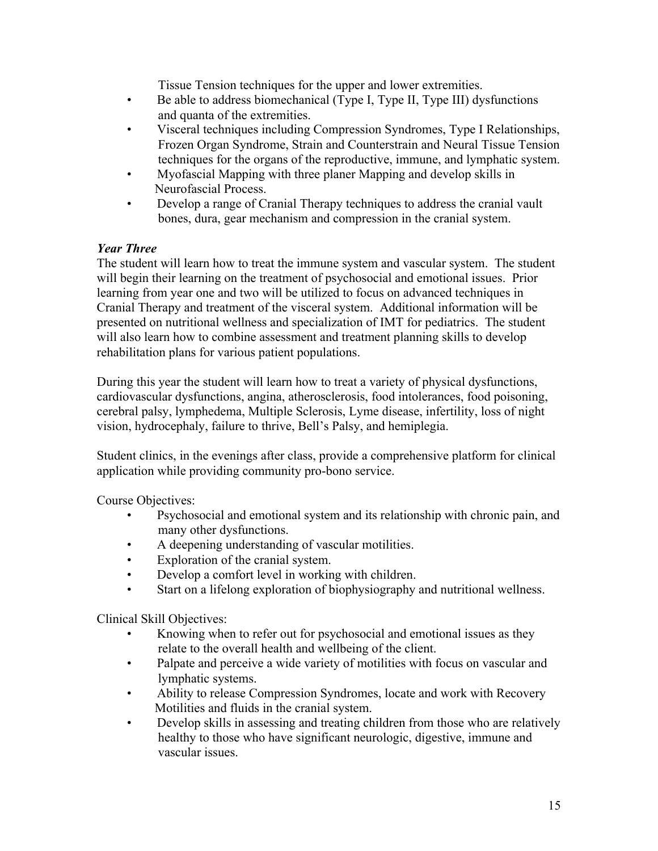Tissue Tension techniques for the upper and lower extremities.

- Be able to address biomechanical (Type I, Type II, Type III) dysfunctions and quanta of the extremities.
- Visceral techniques including Compression Syndromes, Type I Relationships, Frozen Organ Syndrome, Strain and Counterstrain and Neural Tissue Tension techniques for the organs of the reproductive, immune, and lymphatic system.
- Myofascial Mapping with three planer Mapping and develop skills in Neurofascial Process.
- Develop a range of Cranial Therapy techniques to address the cranial vault bones, dura, gear mechanism and compression in the cranial system.

# *Year Three*

The student will learn how to treat the immune system and vascular system. The student will begin their learning on the treatment of psychosocial and emotional issues. Prior learning from year one and two will be utilized to focus on advanced techniques in Cranial Therapy and treatment of the visceral system. Additional information will be presented on nutritional wellness and specialization of IMT for pediatrics. The student will also learn how to combine assessment and treatment planning skills to develop rehabilitation plans for various patient populations.

During this year the student will learn how to treat a variety of physical dysfunctions, cardiovascular dysfunctions, angina, atherosclerosis, food intolerances, food poisoning, cerebral palsy, lymphedema, Multiple Sclerosis, Lyme disease, infertility, loss of night vision, hydrocephaly, failure to thrive, Bell's Palsy, and hemiplegia.

Student clinics, in the evenings after class, provide a comprehensive platform for clinical application while providing community pro-bono service.

Course Objectives:

- Psychosocial and emotional system and its relationship with chronic pain, and many other dysfunctions.
- A deepening understanding of vascular motilities.
- Exploration of the cranial system.
- Develop a comfort level in working with children.
- Start on a lifelong exploration of biophysiography and nutritional wellness.

Clinical Skill Objectives:

- Knowing when to refer out for psychosocial and emotional issues as they relate to the overall health and wellbeing of the client.
- Palpate and perceive a wide variety of motilities with focus on vascular and lymphatic systems.
- Ability to release Compression Syndromes, locate and work with Recovery Motilities and fluids in the cranial system.
- Develop skills in assessing and treating children from those who are relatively healthy to those who have significant neurologic, digestive, immune and vascular issues.